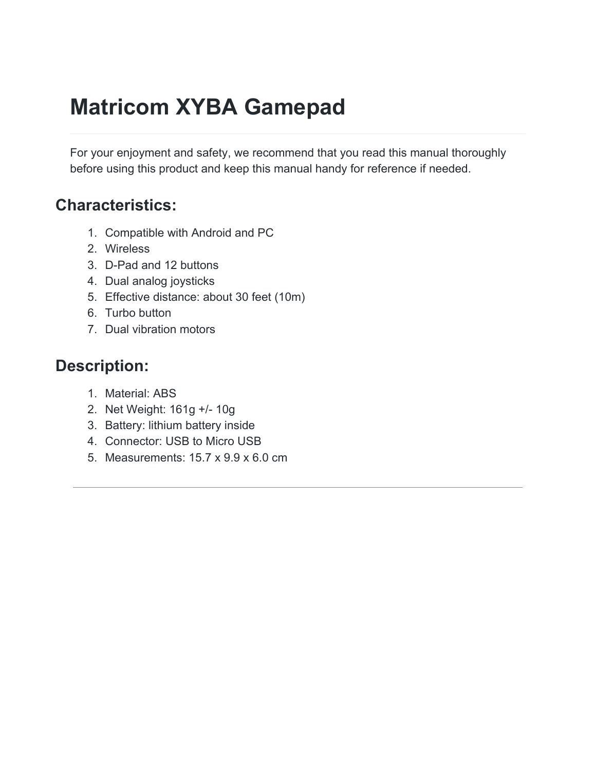# **Matricom XYBA Gamepad**

For your enjoyment and safety, we recommend that you read this manual thoroughly before using this product and keep this manual handy for reference if needed.

#### **Characteristics:**

- 1. Compatible with Android and PC
- 2. Wireless
- 3. D-Pad and 12 buttons
- 4. Dual analog joysticks
- 5. Effective distance: about 30 feet (10m)
- 6. Turbo button
- 7. Dual vibration motors

### **Description:**

- 1. Material: ABS
- 2. Net Weight: 161g +/- 10g
- 3. Battery: lithium battery inside
- 4. Connector: USB to Micro USB
- 5. Measurements: 15.7 x 9.9 x 6.0 cm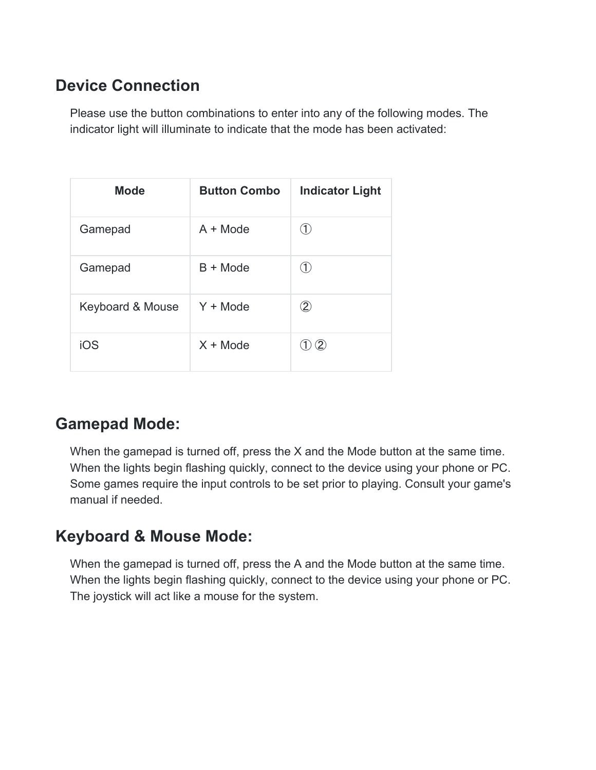# **Device Connection**

Please use the button combinations to enter into any of the following modes. The indicator light will illuminate to indicate that the mode has been activated:

| <b>Mode</b>      | <b>Button Combo</b> | <b>Indicator Light</b> |
|------------------|---------------------|------------------------|
| Gamepad          | $A + Mode$          | (1)                    |
| Gamepad          | $B + Mode$          |                        |
| Keyboard & Mouse | $Y + Mode$          | $\rm(2)$               |
| iOS              | $X + Mode$          | $\left( 2\right)$      |

#### **Gamepad Mode:**

When the gamepad is turned off, press the X and the Mode button at the same time. When the lights begin flashing quickly, connect to the device using your phone or PC. Some games require the input controls to be set prior to playing. Consult your game's manual if needed.

#### **Keyboard & Mouse Mode:**

When the gamepad is turned off, press the A and the Mode button at the same time. When the lights begin flashing quickly, connect to the device using your phone or PC. The joystick will act like a mouse for the system.